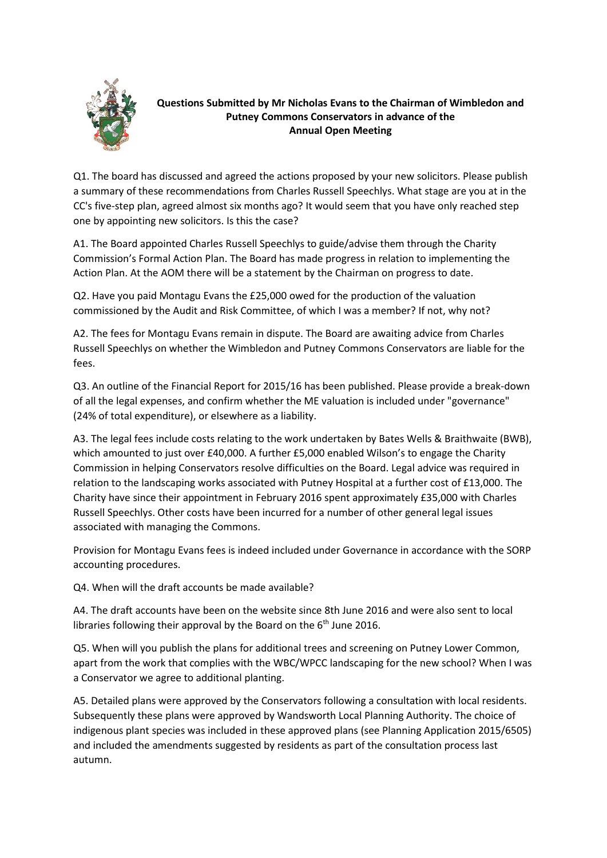

## **Questions Submitted by Mr Nicholas Evans to the Chairman of Wimbledon and Putney Commons Conservators in advance of the Annual Open Meeting**

Q1. The board has discussed and agreed the actions proposed by your new solicitors. Please publish a summary of these recommendations from Charles Russell Speechlys. What stage are you at in the CC's five-step plan, agreed almost six months ago? It would seem that you have only reached step one by appointing new solicitors. Is this the case?

A1. The Board appointed Charles Russell Speechlys to guide/advise them through the Charity Commission's Formal Action Plan. The Board has made progress in relation to implementing the Action Plan. At the AOM there will be a statement by the Chairman on progress to date.

Q2. Have you paid Montagu Evans the £25,000 owed for the production of the valuation commissioned by the Audit and Risk Committee, of which I was a member? If not, why not?

A2. The fees for Montagu Evans remain in dispute. The Board are awaiting advice from Charles Russell Speechlys on whether the Wimbledon and Putney Commons Conservators are liable for the fees.

Q3. An outline of the Financial Report for 2015/16 has been published. Please provide a break-down of all the legal expenses, and confirm whether the ME valuation is included under "governance" (24% of total expenditure), or elsewhere as a liability.

A3. The legal fees include costs relating to the work undertaken by Bates Wells & Braithwaite (BWB), which amounted to just over £40,000. A further £5,000 enabled Wilson's to engage the Charity Commission in helping Conservators resolve difficulties on the Board. Legal advice was required in relation to the landscaping works associated with Putney Hospital at a further cost of £13,000. The Charity have since their appointment in February 2016 spent approximately £35,000 with Charles Russell Speechlys. Other costs have been incurred for a number of other general legal issues associated with managing the Commons.

Provision for Montagu Evans fees is indeed included under Governance in accordance with the SORP accounting procedures.

Q4. When will the draft accounts be made available?

A4. The draft accounts have been on the website since 8th June 2016 and were also sent to local libraries following their approval by the Board on the  $6<sup>th</sup>$  June 2016.

Q5. When will you publish the plans for additional trees and screening on Putney Lower Common, apart from the work that complies with the WBC/WPCC landscaping for the new school? When I was a Conservator we agree to additional planting.

A5. Detailed plans were approved by the Conservators following a consultation with local residents. Subsequently these plans were approved by Wandsworth Local Planning Authority. The choice of indigenous plant species was included in these approved plans (see Planning Application 2015/6505) and included the amendments suggested by residents as part of the consultation process last autumn.